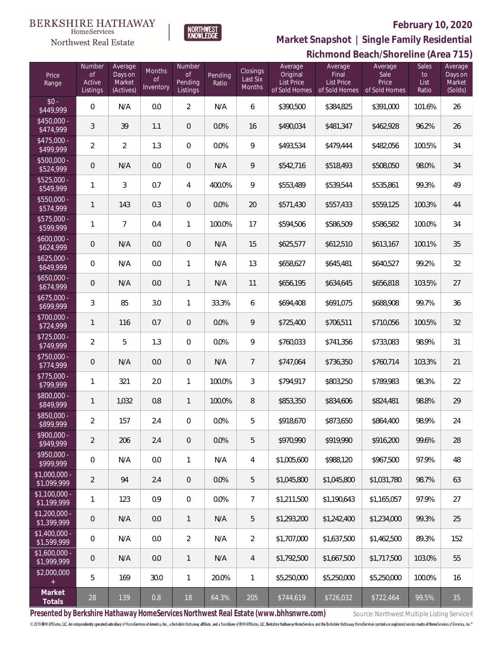#### **BERKSHIRE HATHAWAY**  $\label{lem:sevices} \textsc{Home} \textsc{Service} \textsc{s}$

## Northwest Real Estate

# **February 10, 2020**



#### **Richmond Beach/Shoreline (Area 715) Market Snapshot | Single Family Residential**

| Price<br>Range                | Number<br><b>of</b><br>Active<br>Listings | Average<br>Days on<br>Market<br>(Actives) | Months<br>of<br>Inventory | Number<br>$\mathsf{of}$<br>Pending<br>Listings | Pending<br>Ratio | Closings<br>Last Six<br>Months | Average<br>Original<br><b>List Price</b><br>of Sold Homes | Average<br>Final<br>List Price<br>of Sold Homes | Average<br>Sale<br>Price<br>of Sold Homes | Sales<br>to<br>List<br>Ratio | Average<br>Days on<br>Market<br>(Solds) |
|-------------------------------|-------------------------------------------|-------------------------------------------|---------------------------|------------------------------------------------|------------------|--------------------------------|-----------------------------------------------------------|-------------------------------------------------|-------------------------------------------|------------------------------|-----------------------------------------|
| $$0 -$<br>\$449,999           | $\mathbf 0$                               | N/A                                       | 0.0                       | $\overline{2}$                                 | N/A              | 6                              | \$390,500                                                 | \$384,825                                       | \$391,000                                 | 101.6%                       | 26                                      |
| \$450,000 -<br>\$474,999      | $\sqrt{3}$                                | 39                                        | 1.1                       | $\mathbf 0$                                    | 0.0%             | 16                             | \$490,034                                                 | \$481,347                                       | \$462,928                                 | 96.2%                        | 26                                      |
| $$475,000 -$<br>\$499,999     | $\overline{2}$                            | $\overline{2}$                            | 1.3                       | $\,0\,$                                        | 0.0%             | 9                              | \$493,534                                                 | \$479,444                                       | \$482,056                                 | 100.5%                       | 34                                      |
| \$500,000 -<br>\$524,999      | $\mathsf{O}\xspace$                       | N/A                                       | 0.0                       | $\mathbf 0$                                    | N/A              | 9                              | \$542,716                                                 | \$518,493                                       | \$508,050                                 | 98.0%                        | 34                                      |
| $$525,000 -$<br>\$549,999     | 1                                         | 3                                         | 0.7                       | $\overline{4}$                                 | 400.0%           | 9                              | \$553,489                                                 | \$539,544                                       | \$535,861                                 | 99.3%                        | 49                                      |
| $$550,000 -$<br>\$574,999     | $\mathbf{1}$                              | 143                                       | 0.3                       | $\mathbf 0$                                    | 0.0%             | 20                             | \$571,430                                                 | \$557,433                                       | \$559,125                                 | 100.3%                       | 44                                      |
| $$575,000 -$<br>\$599,999     | 1                                         | $\overline{7}$                            | 0.4                       | $\mathbf{1}$                                   | 100.0%           | 17                             | \$594,506                                                 | \$586,509                                       | \$586,582                                 | 100.0%                       | 34                                      |
| $$600,000 -$<br>\$624,999     | $\mathsf{O}\xspace$                       | N/A                                       | 0.0                       | $\,0\,$                                        | N/A              | 15                             | \$625,577                                                 | \$612,510                                       | \$613,167                                 | 100.1%                       | 35                                      |
| $$625,000 -$<br>\$649,999     | 0                                         | N/A                                       | 0.0                       | $\mathbf{1}$                                   | N/A              | 13                             | \$658,627                                                 | \$645,481                                       | \$640,527                                 | 99.2%                        | 32                                      |
| $$650,000 -$<br>\$674,999     | $\mathsf{O}\xspace$                       | N/A                                       | 0.0                       | $\mathbf{1}$                                   | N/A              | 11                             | \$656,195                                                 | \$634,645                                       | \$656,818                                 | 103.5%                       | 27                                      |
| $$675,000 -$<br>\$699,999     | $\sqrt{3}$                                | 85                                        | 3.0                       | $\mathbf{1}$                                   | 33.3%            | 6                              | \$694,408                                                 | \$691,075                                       | \$688,908                                 | 99.7%                        | 36                                      |
| $$700,000 -$<br>\$724,999     | $\mathbf{1}$                              | 116                                       | 0.7                       | $\overline{0}$                                 | 0.0%             | 9                              | \$725,400                                                 | \$706,511                                       | \$710,056                                 | 100.5%                       | 32                                      |
| $$725,000 -$<br>\$749,999     | $\overline{2}$                            | 5                                         | 1.3                       | $\boldsymbol{0}$                               | 0.0%             | $\mathsf q$                    | \$760,033                                                 | \$741,356                                       | \$733,083                                 | 98.9%                        | 31                                      |
| $$750,000 -$<br>\$774,999     | $\mathsf{O}\xspace$                       | N/A                                       | 0.0                       | $\mathbf 0$                                    | N/A              | 7                              | \$747,064                                                 | \$736,350                                       | \$760,714                                 | 103.3%                       | 21                                      |
| $$775,000 -$<br>\$799,999     | 1                                         | 321                                       | 2.0                       | $\mathbf{1}$                                   | 100.0%           | 3                              | \$794,917                                                 | \$803,250                                       | \$789,983                                 | 98.3%                        | 22                                      |
| \$800,000 -<br>\$849,999      | $\mathbf{1}$                              | 1,032                                     | 0.8                       | $\mathbf{1}$                                   | 100.0%           | 8                              | \$853,350                                                 | \$834,606                                       | \$824,481                                 | 98.8%                        | 29                                      |
| \$850,000 -<br>\$899,999      | $\overline{2}$                            | 157                                       | 2.4                       | $\boldsymbol{0}$                               | 0.0%             | 5                              | \$918,670                                                 | \$873,650                                       | \$864,400                                 | 98.9%                        | 24                                      |
| $$900,000 -$<br>\$949,999     | $\overline{2}$                            | 206                                       | 2.4                       | $\mathbf 0$                                    | 0.0%             | 5                              | \$970,990                                                 | \$919,990                                       | \$916,200                                 | 99.6%                        | 28                                      |
| $$950,000 -$<br>\$999,999     | $\mathbf 0$                               | N/A                                       | 0.0                       | $\overline{1}$                                 | N/A              | $\overline{4}$                 | \$1,005,600                                               | \$988,120                                       | \$967,500                                 | 97.9%                        | 48                                      |
| $$1,000,000 -$<br>\$1,099,999 | $\overline{2}$                            | 94                                        | 2.4                       | $\mathbf 0$                                    | 0.0%             | 5                              | \$1,045,800                                               | \$1,045,800                                     | \$1,031,780                               | 98.7%                        | 63                                      |
| $$1,100,000 -$<br>\$1,199,999 | $\mathbf{1}$                              | 123                                       | 0.9                       | $\overline{0}$                                 | 0.0%             | $\overline{7}$                 | \$1,211,500                                               | \$1,190,643                                     | \$1,165,057                               | 97.9%                        | 27                                      |
| $$1,200,000 -$<br>\$1,399,999 | $\overline{0}$                            | N/A                                       | 0.0                       | $\mathbf{1}$                                   | N/A              | 5                              | \$1,293,200                                               | \$1,242,400                                     | \$1,234,000                               | 99.3%                        | 25                                      |
| $$1,400,000 -$<br>\$1,599,999 | $\mathbf 0$                               | N/A                                       | 0.0                       | $\overline{2}$                                 | N/A              | $\overline{2}$                 | \$1,707,000                                               | \$1,637,500                                     | \$1,462,500                               | 89.3%                        | 152                                     |
| $$1,600,000 -$<br>\$1,999,999 | $\overline{0}$                            | N/A                                       | 0.0                       | $\mathbf{1}$                                   | N/A              | $\overline{4}$                 | \$1,792,500                                               | \$1,667,500                                     | \$1,717,500                               | 103.0%                       | 55                                      |
| \$2,000,000<br>$+$            | 5                                         | 169                                       | 30.0                      | $\overline{1}$                                 | 20.0%            | $\mathbf{1}$                   | \$5,250,000                                               | \$5,250,000                                     | \$5,250,000                               | 100.0%                       | 16                                      |
| Market<br>Totals              | $28\,$                                    | 139                                       | 0.8                       | 18                                             | 64.3%            | 205                            | \$744,619                                                 | \$726,032                                       | \$722,464                                 | 99.5%                        | 35                                      |

Presented by Berkshire Hathaway HomeServices Northwest Real Estate (www.bhhsnwre.com) Source: Northwest Multiple Listing Service®

© 2019 BHH Affiliates, LLC. An independently operated subsidiary of HomeServices of America, Inc., a Berkshire Hathaway affiliate, and a franchisee of BHH Affiliates, LLC. Berkshire Hathaway HomeServices and the Berkshire